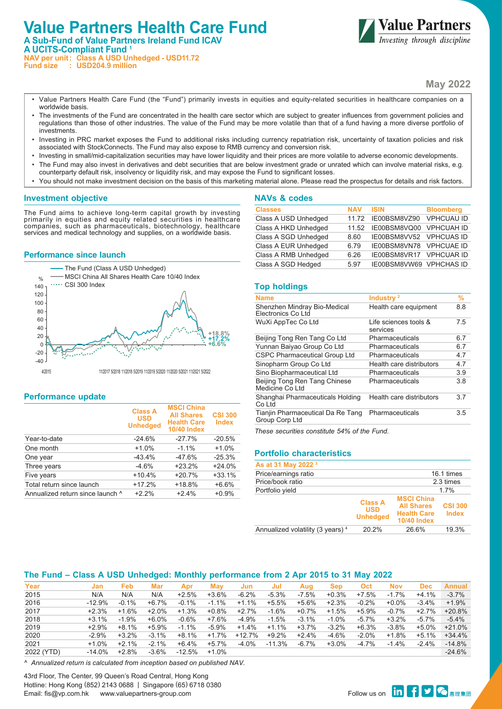# **Value Partners Health Care Fund A Sub-Fund of Value Partners Ireland Fund ICAV A UCITS-Compliant Fund 1 NAV per unit: Class A USD Unhedged - USD11.72 Fund size : USD204.9 million**



**May 2022**

- Value Partners Health Care Fund (the "Fund") primarily invests in equities and equity-related securities in healthcare companies on a worldwide basis.
- The investments of the Fund are concentrated in the health care sector which are subject to greater influences from government policies and regulations than those of other industries. The value of the Fund may be more volatile than that of a fund having a more diverse portfolio of investments.
- Investing in PRC market exposes the Fund to additional risks including currency repatriation risk, uncertainty of taxation policies and risk associated with StockConnects. The Fund may also expose to RMB currency and conversion risk.
- Investing in small/mid-capitalization securities may have lower liquidity and their prices are more volatile to adverse economic developments.
- The Fund may also invest in derivatives and debt securities that are below investment grade or unrated which can involve material risks, e.g. counterparty default risk, insolvency or liquidity risk, and may expose the Fund to significant losses.
- You should not make investment decision on the basis of this marketing material alone. Please read the prospectus for details and risk factors.

### **Investment objective**

The Fund aims to achieve long-term capital growth by investing primarily in equities and equity related securities in healthcare companies, such as pharmaceuticals, biotechnology, healthcare services and medical technology and supplies, on a worldwide basis.

### **Performance since launch**



### **Performance update**

|                                  | <b>Class A</b><br><b>USD</b><br><b>Unhedged</b> | <b>MSCI China</b><br><b>All Shares</b><br><b>Health Care</b><br><b>10/40 Index</b> | <b>CSI 300</b><br><b>Index</b> |
|----------------------------------|-------------------------------------------------|------------------------------------------------------------------------------------|--------------------------------|
| Year-to-date                     | $-24.6%$                                        | $-27.7\%$                                                                          | $-20.5%$                       |
| One month                        | $+1.0%$                                         | $-1.1\%$                                                                           | $+1.0%$                        |
| One year                         | $-43.4%$                                        | $-47.6%$                                                                           | $-25.3%$                       |
| Three years                      | $-4.6%$                                         | $+23.2%$                                                                           | $+24.0%$                       |
| Five years                       | $+10.4%$                                        | $+20.7%$                                                                           | $+33.1%$                       |
| Total return since launch        | $+17.2%$                                        | $+18.8%$                                                                           | $+6.6%$                        |
| Annualized return since launch ^ | $+2.2%$                                         | $+2.4%$                                                                            | $+0.9%$                        |

| NAVƏ U GUUGƏ         |            |                         |                   |
|----------------------|------------|-------------------------|-------------------|
| <b>Classes</b>       | <b>NAV</b> | <b>ISIN</b>             | <b>Bloomberg</b>  |
| Class A USD Unhedged | 1172       | IE00BSM8VZ90            | <b>VPHCUAU ID</b> |
| Class A HKD Unhedged | 11.52      | IE00BSM8VQ00            | <b>VPHCUAH ID</b> |
| Class A SGD Unhedged | 8.60       | IE00BSM8VV52 VPHCUAS ID |                   |
| Class A EUR Unhedged | 6.79       | IE00BSM8VN78 VPHCUAE ID |                   |
| Class A RMB Unhedged | 6.26       | IE00BSM8VR17 VPHCUAR ID |                   |
| Class A SGD Hedged   | 5.97       | IE00BSM8VW69 VPHCHAS ID |                   |

### **Top holdings**

**NAVs & codes**

| <b>Name</b>                                         | Industry <sup>2</sup>             | %   |
|-----------------------------------------------------|-----------------------------------|-----|
| Shenzhen Mindray Bio-Medical<br>Electronics Co Ltd  | Health care equipment             | 8.8 |
| WuXi AppTec Co Ltd                                  | Life sciences tools &<br>services | 7.5 |
| Beijing Tong Ren Tang Co Ltd                        | Pharmaceuticals                   | 6.7 |
| Yunnan Baiyao Group Co Ltd                          | Pharmaceuticals                   | 6.7 |
| <b>CSPC Pharmaceutical Group Ltd</b>                | Pharmaceuticals                   | 4.7 |
| Sinopharm Group Co Ltd                              | Health care distributors          | 4.7 |
| Sino Biopharmaceutical Ltd                          | Pharmaceuticals                   | 3.9 |
| Beijing Tong Ren Tang Chinese<br>Medicine Co Ltd    | Pharmaceuticals                   | 3.8 |
| Shanghai Pharmaceuticals Holding<br>Co Ltd          | Health care distributors          | 3.7 |
| Tianjin Pharmaceutical Da Re Tang<br>Group Corp Ltd | Pharmaceuticals                   | 3.5 |
|                                                     |                                   |     |

*These securities constitute 54% of the Fund.*

### **Portfolio characteristics**

| As at 31 May 2022 3                          |                                                 |                                                                                    |                                |  |  |
|----------------------------------------------|-------------------------------------------------|------------------------------------------------------------------------------------|--------------------------------|--|--|
| Price/earnings ratio                         |                                                 | 16.1 times                                                                         |                                |  |  |
| Price/book ratio                             | 2.3 times                                       |                                                                                    |                                |  |  |
| Portfolio yield                              |                                                 |                                                                                    | 17%                            |  |  |
|                                              | <b>Class A</b><br><b>USD</b><br><b>Unhedged</b> | <b>MSCI China</b><br><b>All Shares</b><br><b>Health Care</b><br><b>10/40 Index</b> | <b>CSI 300</b><br><b>Index</b> |  |  |
| Annualized volatility (3 years) <sup>4</sup> | 20.2%                                           | 26.6%                                                                              | 19.3%                          |  |  |

# **The Fund – Class A USD Unhedged: Monthly performance from 2 Apr 2015 to 31 May 2022**

| Year       | Jan      | Feb     | Mar      | Apr     | Mav      | Jun     | Jul      | Aua      | <b>Sep</b> | <b>Oct</b> | <b>Nov</b> | <b>Dec</b> | Annual   |
|------------|----------|---------|----------|---------|----------|---------|----------|----------|------------|------------|------------|------------|----------|
| 2015       | N/A      | N/A     | N/A      | $+2.5%$ | $+3.6%$  | $-6.2%$ | $-5.3%$  | $-7.5%$  | $+0.3%$    | $+7.5%$    | $-1.7%$    | +4.1%      | $-3.7%$  |
| 2016       | $-12.9%$ | $-0.1%$ | $+6.7\%$ | $-0.1%$ | $-1.1%$  | $+1.1%$ | $+5.5%$  | +5.6%    | $+2.3%$    | $-0.2%$    | $+0.0\%$   | $-3.4%$    | $+1.9%$  |
| 2017       | $+2.3%$  | $+1.6%$ | $+2.0%$  | $+1.3%$ | $+0.8%$  | +2.7%   | $-1.6%$  | $+0.7\%$ | $+1.5%$    | +5.9%      | $-0.7\%$   | $+2.7%$    | $+20.8%$ |
| 2018       | $+3.1\%$ | $-1.9%$ | +6.0%    | -0.6%   | +7.6%    | $-4.9%$ | $-1.5%$  | $-3.1%$  | -1.0%      | $-5.7\%$   | $+3.2\%$   | $-5.7\%$   | $-5.4\%$ |
| 2019       | $+2.9%$  | $+8.1%$ | $+5.9%$  | $-1.1%$ | $-5.9\%$ | $+1.4%$ | $+1.1%$  | +3.7%    | $-3.2%$    | $+6.3%$    | $-3.8%$    | +5.0%      | $+21.0%$ |
| 2020       | $-2.9%$  | $+3.2%$ | $-3.1%$  | $+8.1%$ | $+1.7%$  | +12.7%  | $+9.2\%$ | +2.4%    | $-4.6\%$   | $-2.0%$    | $+1.8%$    | $+5.1%$    | $+34.4%$ |
| 2021       | $+1.0\%$ | $+2.1%$ | $-2.1%$  | $+6.4%$ | +5.7%    | $-4.0%$ | $-11.3%$ | $-6.7%$  | $+3.0\%$   | $-4.7%$    | $-1.4%$    | $-2.4%$    | $-14.8%$ |
| 2022 (YTD) | $-14.0%$ | $+2.8%$ | $-3.6%$  | -12.5%  | $+1.0%$  |         |          |          |            |            |            |            | $-24.6%$ |

*^ Annualized return is calculated from inception based on published NAV.*

43rd Floor, The Center, 99 Queen's Road Central, Hong Kong Hotline: Hong Kong (852) 2143 0688 | Singapore (65) 6718 0380 Email: fis@vp.com.hk www.valuepartners-group.com